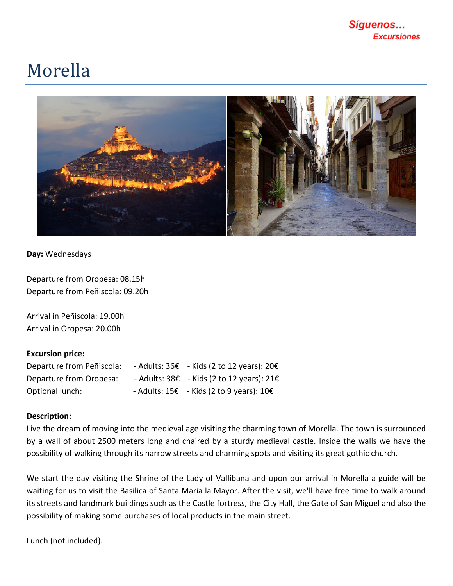## Morella



**Day:** Wednesdays

Departure from Oropesa: 08.15h Departure from Peñiscola: 09.20h

Arrival in Peñiscola: 19.00h Arrival in Oropesa: 20.00h

## **Excursion price:**

| Departure from Peñiscola: | - Adults: $36\epsilon$ - Kids (2 to 12 years): $20\epsilon$ |
|---------------------------|-------------------------------------------------------------|
| Departure from Oropesa:   | - Adults: $38\epsilon$ - Kids (2 to 12 years): $21\epsilon$ |
| Optional lunch:           | - Adults: $15\epsilon$ - Kids (2 to 9 years): $10\epsilon$  |

## **Description:**

Live the dream of moving into the medieval age visiting the charming town of Morella. The town is surrounded by a wall of about 2500 meters long and chaired by a sturdy medieval castle. Inside the walls we have the possibility of walking through its narrow streets and charming spots and visiting its great gothic church.

We start the day visiting the Shrine of the Lady of Vallibana and upon our arrival in Morella a guide will be waiting for us to visit the Basilica of Santa Maria la Mayor. After the visit, we'll have free time to walk around its streets and landmark buildings such as the Castle fortress, the City Hall, the Gate of San Miguel and also the possibility of making some purchases of local products in the main street.

Lunch (not included).